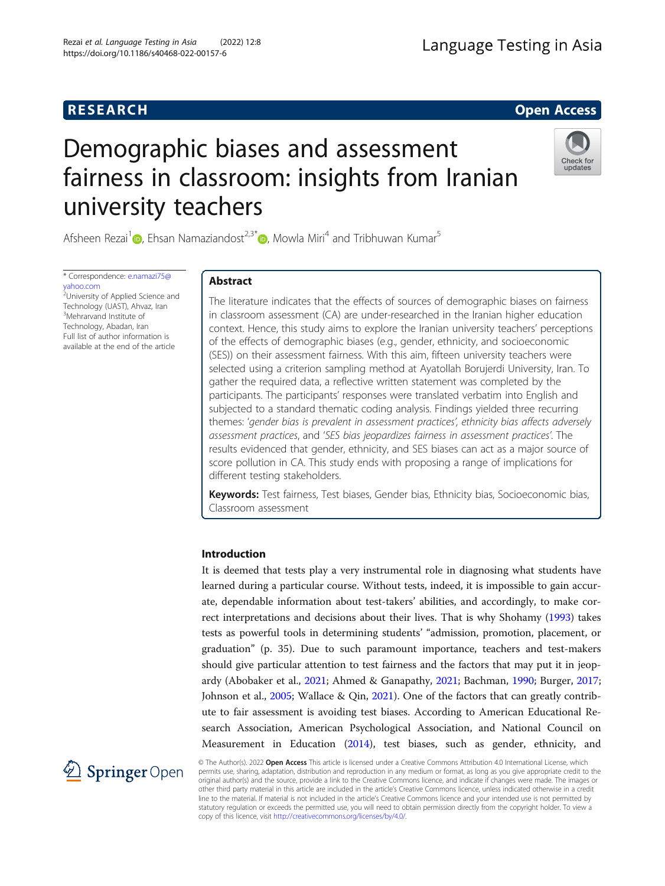# **RESEARCH RESEARCH CONSUMING ACCESS**

# Demographic biases and assessment fairness in classroom: insights from Iranian university teachers



Afsheen Rezai<sup>1</sup> **D**[,](http://orcid.org/0000-0002-8393-2537) Ehsan Namaziandost<sup>2,3\*</sup> **D**, Mowla Miri<sup>4</sup> and Tribhuwan Kumar<sup>5</sup>

\* Correspondence: [e.namazi75@](mailto:e.namazi75@yahoo.com) [yahoo.com](mailto:e.namazi75@yahoo.com) <sup>2</sup>University of Applied Science and

Technology (UAST), Ahvaz, Iran <sup>3</sup>Mehrarvand Institute of Technology, Abadan, Iran Full list of author information is available at the end of the article

# Abstract

The literature indicates that the effects of sources of demographic biases on fairness in classroom assessment (CA) are under-researched in the Iranian higher education context. Hence, this study aims to explore the Iranian university teachers' perceptions of the effects of demographic biases (e.g., gender, ethnicity, and socioeconomic (SES)) on their assessment fairness. With this aim, fifteen university teachers were selected using a criterion sampling method at Ayatollah Borujerdi University, Iran. To gather the required data, a reflective written statement was completed by the participants. The participants' responses were translated verbatim into English and subjected to a standard thematic coding analysis. Findings yielded three recurring themes: 'gender bias is prevalent in assessment practices', ethnicity bias affects adversely assessment practices, and 'SES bias jeopardizes fairness in assessment practices'. The results evidenced that gender, ethnicity, and SES biases can act as a major source of score pollution in CA. This study ends with proposing a range of implications for different testing stakeholders.

Keywords: Test fairness, Test biases, Gender bias, Ethnicity bias, Socioeconomic bias, Classroom assessment

# Introduction

It is deemed that tests play a very instrumental role in diagnosing what students have learned during a particular course. Without tests, indeed, it is impossible to gain accurate, dependable information about test-takers' abilities, and accordingly, to make correct interpretations and decisions about their lives. That is why Shohamy ([1993](#page-18-0)) takes tests as powerful tools in determining students' "admission, promotion, placement, or graduation" (p. 35). Due to such paramount importance, teachers and test-makers should give particular attention to test fairness and the factors that may put it in jeopardy (Abobaker et al., [2021](#page-15-0); Ahmed & Ganapathy, [2021](#page-16-0); Bachman, [1990](#page-16-0); Burger, [2017](#page-16-0); Johnson et al., [2005](#page-17-0); Wallace & Qin, [2021\)](#page-19-0). One of the factors that can greatly contribute to fair assessment is avoiding test biases. According to American Educational Research Association, American Psychological Association, and National Council on Measurement in Education [\(2014](#page-16-0)), test biases, such as gender, ethnicity, and



© The Author(s). 2022 Open Access This article is licensed under a Creative Commons Attribution 4.0 International License, which permits use, sharing, adaptation, distribution and reproduction in any medium or format, as long as you give appropriate credit to the original author(s) and the source, provide a link to the Creative Commons licence, and indicate if changes were made. The images or other third party material in this article are included in the article's Creative Commons licence, unless indicated otherwise in a credit line to the material. If material is not included in the article's Creative Commons licence and your intended use is not permitted by statutory regulation or exceeds the permitted use, you will need to obtain permission directly from the copyright holder. To view a copy of this licence, visit <http://creativecommons.org/licenses/by/4.0/>.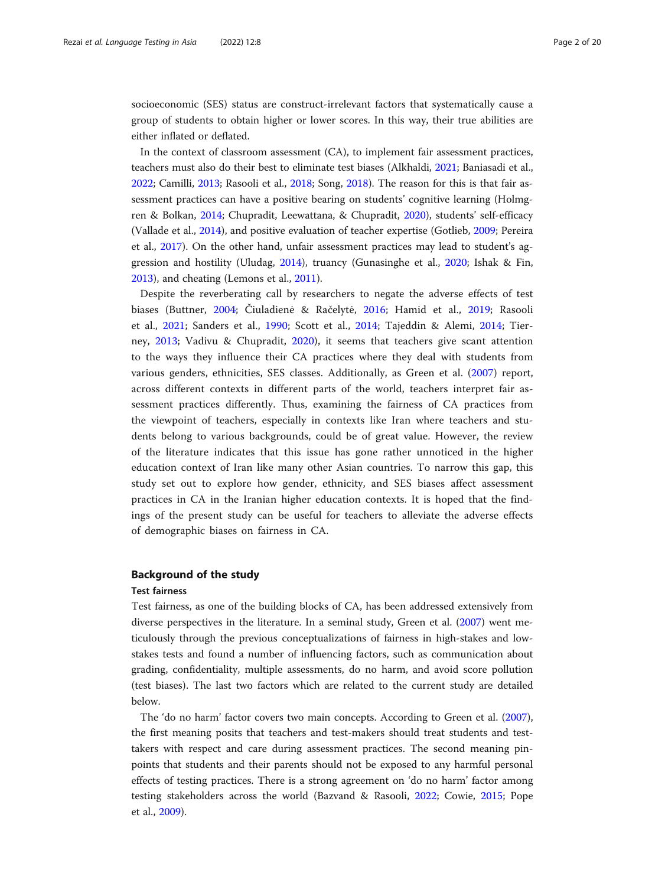socioeconomic (SES) status are construct-irrelevant factors that systematically cause a group of students to obtain higher or lower scores. In this way, their true abilities are either inflated or deflated.

In the context of classroom assessment (CA), to implement fair assessment practices, teachers must also do their best to eliminate test biases (Alkhaldi, [2021](#page-16-0); Baniasadi et al., [2022](#page-16-0); Camilli, [2013;](#page-16-0) Rasooli et al., [2018;](#page-18-0) Song, [2018](#page-18-0)). The reason for this is that fair assessment practices can have a positive bearing on students' cognitive learning (Holmgren & Bolkan, [2014](#page-17-0); Chupradit, Leewattana, & Chupradit, [2020](#page-16-0)), students' self-efficacy (Vallade et al., [2014](#page-18-0)), and positive evaluation of teacher expertise (Gotlieb, [2009](#page-17-0); Pereira et al., [2017](#page-18-0)). On the other hand, unfair assessment practices may lead to student's aggression and hostility (Uludag, [2014](#page-18-0)), truancy (Gunasinghe et al., [2020](#page-17-0); Ishak & Fin, [2013](#page-17-0)), and cheating (Lemons et al., [2011\)](#page-17-0).

Despite the reverberating call by researchers to negate the adverse effects of test biases (Buttner, [2004](#page-16-0); Čiuladienė & Račelytė, [2016;](#page-16-0) Hamid et al., [2019](#page-17-0); Rasooli et al., [2021;](#page-18-0) Sanders et al., [1990;](#page-18-0) Scott et al., [2014](#page-18-0); Tajeddin & Alemi, [2014;](#page-18-0) Tierney, [2013](#page-18-0); Vadivu & Chupradit, [2020](#page-18-0)), it seems that teachers give scant attention to the ways they influence their CA practices where they deal with students from various genders, ethnicities, SES classes. Additionally, as Green et al. [\(2007](#page-17-0)) report, across different contexts in different parts of the world, teachers interpret fair assessment practices differently. Thus, examining the fairness of CA practices from the viewpoint of teachers, especially in contexts like Iran where teachers and students belong to various backgrounds, could be of great value. However, the review of the literature indicates that this issue has gone rather unnoticed in the higher education context of Iran like many other Asian countries. To narrow this gap, this study set out to explore how gender, ethnicity, and SES biases affect assessment practices in CA in the Iranian higher education contexts. It is hoped that the findings of the present study can be useful for teachers to alleviate the adverse effects of demographic biases on fairness in CA.

# Background of the study

# Test fairness

Test fairness, as one of the building blocks of CA, has been addressed extensively from diverse perspectives in the literature. In a seminal study, Green et al. ([2007](#page-17-0)) went meticulously through the previous conceptualizations of fairness in high-stakes and lowstakes tests and found a number of influencing factors, such as communication about grading, confidentiality, multiple assessments, do no harm, and avoid score pollution (test biases). The last two factors which are related to the current study are detailed below.

The 'do no harm' factor covers two main concepts. According to Green et al. ([2007](#page-17-0)), the first meaning posits that teachers and test-makers should treat students and testtakers with respect and care during assessment practices. The second meaning pinpoints that students and their parents should not be exposed to any harmful personal effects of testing practices. There is a strong agreement on 'do no harm' factor among testing stakeholders across the world (Bazvand & Rasooli, [2022](#page-16-0); Cowie, [2015](#page-16-0); Pope et al., [2009\)](#page-18-0).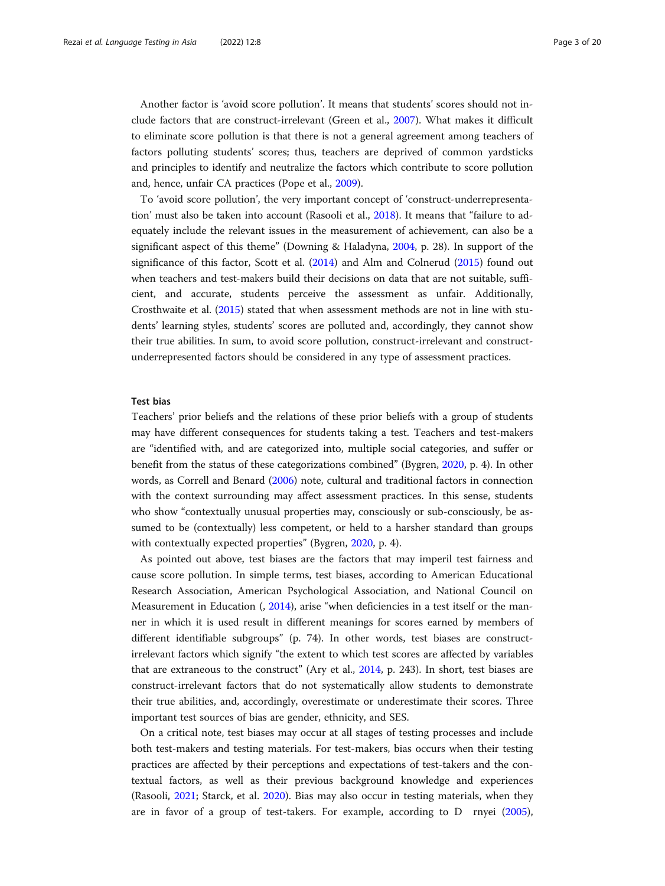Another factor is 'avoid score pollution'. It means that students' scores should not include factors that are construct-irrelevant (Green et al., [2007](#page-17-0)). What makes it difficult to eliminate score pollution is that there is not a general agreement among teachers of factors polluting students' scores; thus, teachers are deprived of common yardsticks and principles to identify and neutralize the factors which contribute to score pollution and, hence, unfair CA practices (Pope et al., [2009](#page-18-0)).

To 'avoid score pollution', the very important concept of 'construct-underrepresentation' must also be taken into account (Rasooli et al., [2018](#page-18-0)). It means that "failure to adequately include the relevant issues in the measurement of achievement, can also be a significant aspect of this theme" (Downing & Haladyna, [2004,](#page-16-0) p. 28). In support of the significance of this factor, Scott et al. ([2014](#page-18-0)) and Alm and Colnerud [\(2015\)](#page-16-0) found out when teachers and test-makers build their decisions on data that are not suitable, sufficient, and accurate, students perceive the assessment as unfair. Additionally, Crosthwaite et al. ([2015](#page-16-0)) stated that when assessment methods are not in line with students' learning styles, students' scores are polluted and, accordingly, they cannot show their true abilities. In sum, to avoid score pollution, construct-irrelevant and constructunderrepresented factors should be considered in any type of assessment practices.

# Test bias

Teachers' prior beliefs and the relations of these prior beliefs with a group of students may have different consequences for students taking a test. Teachers and test-makers are "identified with, and are categorized into, multiple social categories, and suffer or benefit from the status of these categorizations combined" (Bygren, [2020,](#page-16-0) p. 4). In other words, as Correll and Benard ([2006](#page-16-0)) note, cultural and traditional factors in connection with the context surrounding may affect assessment practices. In this sense, students who show "contextually unusual properties may, consciously or sub-consciously, be assumed to be (contextually) less competent, or held to a harsher standard than groups with contextually expected properties" (Bygren, [2020](#page-16-0), p. 4).

As pointed out above, test biases are the factors that may imperil test fairness and cause score pollution. In simple terms, test biases, according to American Educational Research Association, American Psychological Association, and National Council on Measurement in Education (, [2014](#page-16-0)), arise "when deficiencies in a test itself or the manner in which it is used result in different meanings for scores earned by members of different identifiable subgroups" (p. 74). In other words, test biases are constructirrelevant factors which signify "the extent to which test scores are affected by variables that are extraneous to the construct" (Ary et al., [2014](#page-16-0), p. 243). In short, test biases are construct-irrelevant factors that do not systematically allow students to demonstrate their true abilities, and, accordingly, overestimate or underestimate their scores. Three important test sources of bias are gender, ethnicity, and SES.

On a critical note, test biases may occur at all stages of testing processes and include both test-makers and testing materials. For test-makers, bias occurs when their testing practices are affected by their perceptions and expectations of test-takers and the contextual factors, as well as their previous background knowledge and experiences (Rasooli, [2021;](#page-18-0) Starck, et al. [2020](#page-18-0)). Bias may also occur in testing materials, when they are in favor of a group of test-takers. For example, according to D rnyei ([2005](#page-16-0)),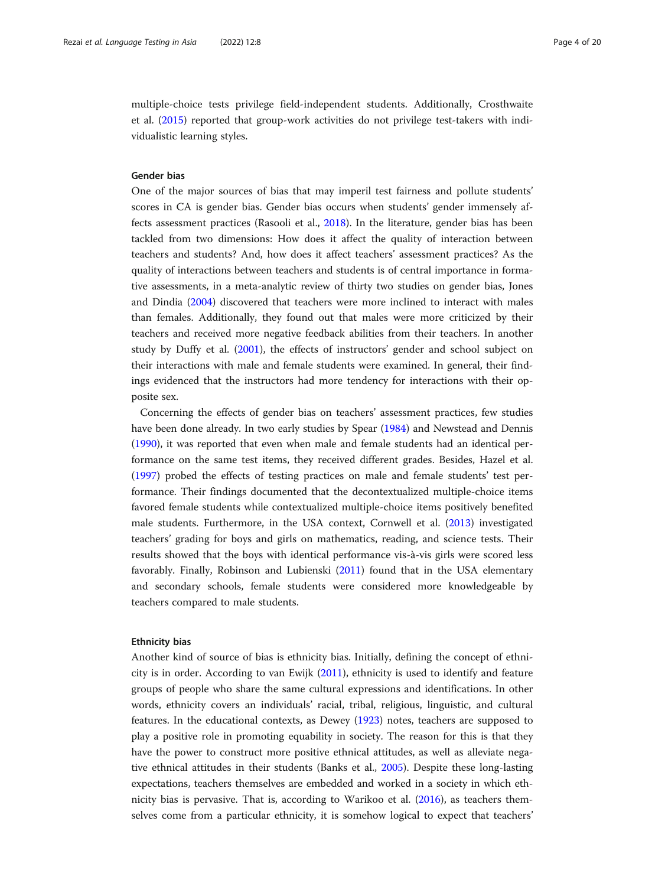multiple-choice tests privilege field-independent students. Additionally, Crosthwaite et al. ([2015\)](#page-16-0) reported that group-work activities do not privilege test-takers with individualistic learning styles.

# Gender bias

One of the major sources of bias that may imperil test fairness and pollute students' scores in CA is gender bias. Gender bias occurs when students' gender immensely affects assessment practices (Rasooli et al., [2018\)](#page-18-0). In the literature, gender bias has been tackled from two dimensions: How does it affect the quality of interaction between teachers and students? And, how does it affect teachers' assessment practices? As the quality of interactions between teachers and students is of central importance in formative assessments, in a meta-analytic review of thirty two studies on gender bias, Jones and Dindia ([2004](#page-17-0)) discovered that teachers were more inclined to interact with males than females. Additionally, they found out that males were more criticized by their teachers and received more negative feedback abilities from their teachers. In another study by Duffy et al. ([2001\)](#page-17-0), the effects of instructors' gender and school subject on their interactions with male and female students were examined. In general, their findings evidenced that the instructors had more tendency for interactions with their opposite sex.

Concerning the effects of gender bias on teachers' assessment practices, few studies have been done already. In two early studies by Spear [\(1984\)](#page-18-0) and Newstead and Dennis ([1990](#page-17-0)), it was reported that even when male and female students had an identical performance on the same test items, they received different grades. Besides, Hazel et al. ([1997](#page-17-0)) probed the effects of testing practices on male and female students' test performance. Their findings documented that the decontextualized multiple-choice items favored female students while contextualized multiple-choice items positively benefited male students. Furthermore, in the USA context, Cornwell et al. [\(2013\)](#page-16-0) investigated teachers' grading for boys and girls on mathematics, reading, and science tests. Their results showed that the boys with identical performance vis-à-vis girls were scored less favorably. Finally, Robinson and Lubienski ([2011\)](#page-18-0) found that in the USA elementary and secondary schools, female students were considered more knowledgeable by teachers compared to male students.

# Ethnicity bias

Another kind of source of bias is ethnicity bias. Initially, defining the concept of ethnicity is in order. According to van Ewijk [\(2011\)](#page-18-0), ethnicity is used to identify and feature groups of people who share the same cultural expressions and identifications. In other words, ethnicity covers an individuals' racial, tribal, religious, linguistic, and cultural features. In the educational contexts, as Dewey [\(1923](#page-16-0)) notes, teachers are supposed to play a positive role in promoting equability in society. The reason for this is that they have the power to construct more positive ethnical attitudes, as well as alleviate negative ethnical attitudes in their students (Banks et al., [2005](#page-16-0)). Despite these long-lasting expectations, teachers themselves are embedded and worked in a society in which ethnicity bias is pervasive. That is, according to Warikoo et al. [\(2016\)](#page-19-0), as teachers themselves come from a particular ethnicity, it is somehow logical to expect that teachers'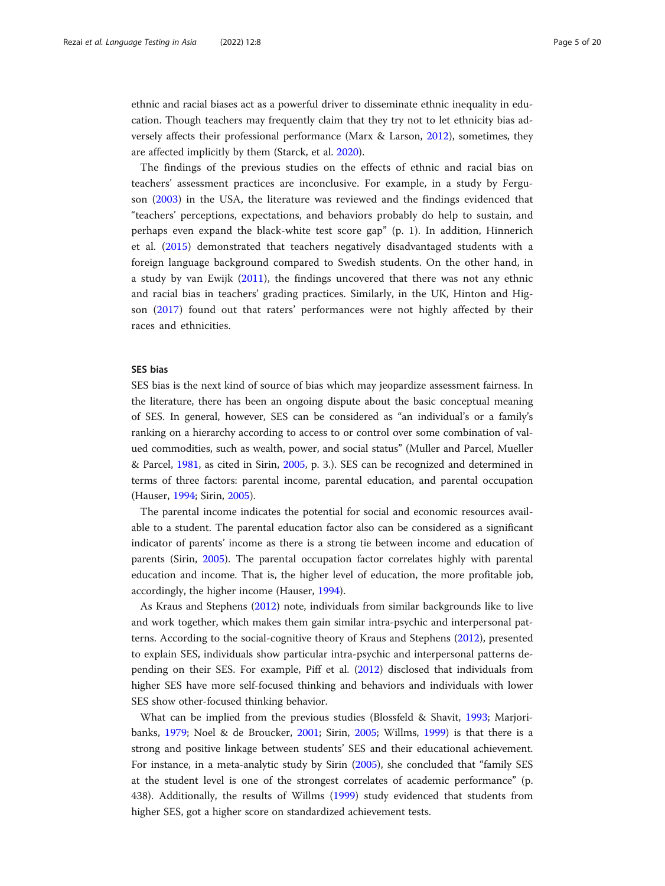ethnic and racial biases act as a powerful driver to disseminate ethnic inequality in education. Though teachers may frequently claim that they try not to let ethnicity bias adversely affects their professional performance (Marx & Larson, [2012](#page-17-0)), sometimes, they are affected implicitly by them (Starck, et al. [2020](#page-18-0)).

The findings of the previous studies on the effects of ethnic and racial bias on teachers' assessment practices are inconclusive. For example, in a study by Ferguson ([2003\)](#page-17-0) in the USA, the literature was reviewed and the findings evidenced that "teachers' perceptions, expectations, and behaviors probably do help to sustain, and perhaps even expand the black-white test score gap" (p. 1). In addition, Hinnerich et al. [\(2015](#page-17-0)) demonstrated that teachers negatively disadvantaged students with a foreign language background compared to Swedish students. On the other hand, in a study by van Ewijk [\(2011](#page-18-0)), the findings uncovered that there was not any ethnic and racial bias in teachers' grading practices. Similarly, in the UK, Hinton and Higson ([2017\)](#page-17-0) found out that raters' performances were not highly affected by their races and ethnicities.

# SES bias

SES bias is the next kind of source of bias which may jeopardize assessment fairness. In the literature, there has been an ongoing dispute about the basic conceptual meaning of SES. In general, however, SES can be considered as "an individual's or a family's ranking on a hierarchy according to access to or control over some combination of valued commodities, such as wealth, power, and social status" (Muller and Parcel, Mueller & Parcel, [1981](#page-17-0), as cited in Sirin, [2005](#page-18-0), p. 3.). SES can be recognized and determined in terms of three factors: parental income, parental education, and parental occupation (Hauser, [1994;](#page-17-0) Sirin, [2005\)](#page-18-0).

The parental income indicates the potential for social and economic resources available to a student. The parental education factor also can be considered as a significant indicator of parents' income as there is a strong tie between income and education of parents (Sirin, [2005](#page-18-0)). The parental occupation factor correlates highly with parental education and income. That is, the higher level of education, the more profitable job, accordingly, the higher income (Hauser, [1994](#page-17-0)).

As Kraus and Stephens [\(2012\)](#page-17-0) note, individuals from similar backgrounds like to live and work together, which makes them gain similar intra-psychic and interpersonal patterns. According to the social-cognitive theory of Kraus and Stephens ([2012\)](#page-17-0), presented to explain SES, individuals show particular intra-psychic and interpersonal patterns depending on their SES. For example, Piff et al. [\(2012](#page-18-0)) disclosed that individuals from higher SES have more self-focused thinking and behaviors and individuals with lower SES show other-focused thinking behavior.

What can be implied from the previous studies (Blossfeld & Shavit, [1993;](#page-16-0) Marjoribanks, [1979](#page-17-0); Noel & de Broucker, [2001;](#page-17-0) Sirin, [2005](#page-18-0); Willms, [1999](#page-19-0)) is that there is a strong and positive linkage between students' SES and their educational achievement. For instance, in a meta-analytic study by Sirin [\(2005\)](#page-18-0), she concluded that "family SES at the student level is one of the strongest correlates of academic performance" (p. 438). Additionally, the results of Willms ([1999](#page-19-0)) study evidenced that students from higher SES, got a higher score on standardized achievement tests.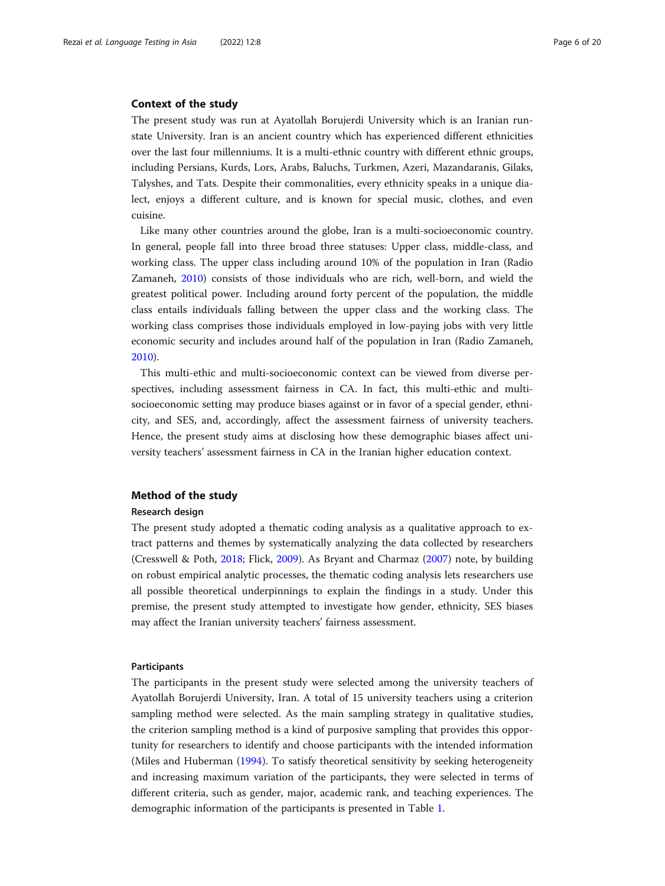# Context of the study

The present study was run at Ayatollah Borujerdi University which is an Iranian runstate University. Iran is an ancient country which has experienced different ethnicities over the last four millenniums. It is a multi-ethnic country with different ethnic groups, including Persians, Kurds, Lors, Arabs, Baluchs, Turkmen, Azeri, Mazandaranis, Gilaks, Talyshes, and Tats. Despite their commonalities, every ethnicity speaks in a unique dialect, enjoys a different culture, and is known for special music, clothes, and even cuisine.

Like many other countries around the globe, Iran is a multi-socioeconomic country. In general, people fall into three broad three statuses: Upper class, middle-class, and working class. The upper class including around 10% of the population in Iran (Radio Zamaneh, [2010\)](#page-18-0) consists of those individuals who are rich, well-born, and wield the greatest political power. Including around forty percent of the population, the middle class entails individuals falling between the upper class and the working class. The working class comprises those individuals employed in low-paying jobs with very little economic security and includes around half of the population in Iran (Radio Zamaneh, [2010](#page-18-0)).

This multi-ethic and multi-socioeconomic context can be viewed from diverse perspectives, including assessment fairness in CA. In fact, this multi-ethic and multisocioeconomic setting may produce biases against or in favor of a special gender, ethnicity, and SES, and, accordingly, affect the assessment fairness of university teachers. Hence, the present study aims at disclosing how these demographic biases affect university teachers' assessment fairness in CA in the Iranian higher education context.

# Method of the study

# Research design

The present study adopted a thematic coding analysis as a qualitative approach to extract patterns and themes by systematically analyzing the data collected by researchers (Cresswell & Poth, [2018](#page-16-0); Flick, [2009](#page-17-0)). As Bryant and Charmaz ([2007](#page-16-0)) note, by building on robust empirical analytic processes, the thematic coding analysis lets researchers use all possible theoretical underpinnings to explain the findings in a study. Under this premise, the present study attempted to investigate how gender, ethnicity, SES biases may affect the Iranian university teachers' fairness assessment.

# Participants

The participants in the present study were selected among the university teachers of Ayatollah Borujerdi University, Iran. A total of 15 university teachers using a criterion sampling method were selected. As the main sampling strategy in qualitative studies, the criterion sampling method is a kind of purposive sampling that provides this opportunity for researchers to identify and choose participants with the intended information (Miles and Huberman [\(1994\)](#page-17-0). To satisfy theoretical sensitivity by seeking heterogeneity and increasing maximum variation of the participants, they were selected in terms of different criteria, such as gender, major, academic rank, and teaching experiences. The demographic information of the participants is presented in Table [1](#page-6-0).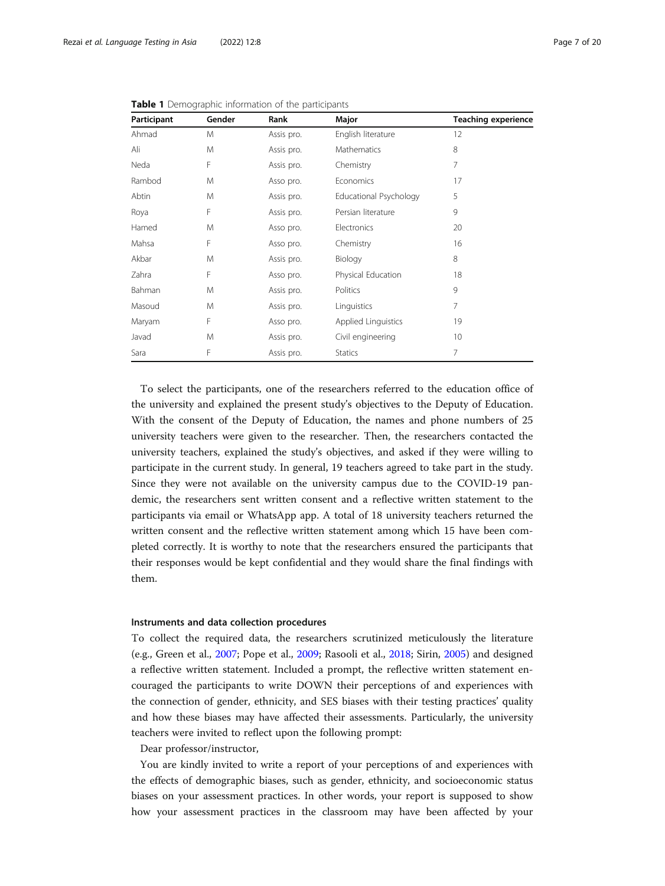| Participant | Gender | Rank       | Major                  | <b>Teaching experience</b> |
|-------------|--------|------------|------------------------|----------------------------|
| Ahmad       | M      | Assis pro. | English literature     | 12                         |
| Ali         | M      | Assis pro. | Mathematics            | 8                          |
| Neda        | F      | Assis pro. | Chemistry              | 7                          |
| Rambod      | M      | Asso pro.  | Economics              | 17                         |
| Abtin       | M      | Assis pro. | Educational Psychology | 5                          |
| Roya        | F      | Assis pro. | Persian literature     | 9                          |
| Hamed       | M      | Asso pro.  | Electronics            | 20                         |
| Mahsa       | F      | Asso pro.  | Chemistry              | 16                         |
| Akbar       | M      | Assis pro. | Biology                | 8                          |
| Zahra       | F      | Asso pro.  | Physical Education     | 18                         |
| Bahman      | M      | Assis pro. | Politics               | 9                          |
| Masoud      | M      | Assis pro. | Linguistics            | 7                          |
| Maryam      | F      | Asso pro.  | Applied Linguistics    | 19                         |
| Javad       | M      | Assis pro. | Civil engineering      | 10                         |
| Sara        | F      | Assis pro. | <b>Statics</b>         | 7                          |

<span id="page-6-0"></span>Table 1 Demographic information of the participants

To select the participants, one of the researchers referred to the education office of the university and explained the present study's objectives to the Deputy of Education. With the consent of the Deputy of Education, the names and phone numbers of 25 university teachers were given to the researcher. Then, the researchers contacted the university teachers, explained the study's objectives, and asked if they were willing to participate in the current study. In general, 19 teachers agreed to take part in the study. Since they were not available on the university campus due to the COVID-19 pandemic, the researchers sent written consent and a reflective written statement to the participants via email or WhatsApp app. A total of 18 university teachers returned the written consent and the reflective written statement among which 15 have been completed correctly. It is worthy to note that the researchers ensured the participants that their responses would be kept confidential and they would share the final findings with them.

# Instruments and data collection procedures

To collect the required data, the researchers scrutinized meticulously the literature (e.g., Green et al., [2007](#page-17-0); Pope et al., [2009;](#page-18-0) Rasooli et al., [2018](#page-18-0); Sirin, [2005\)](#page-18-0) and designed a reflective written statement. Included a prompt, the reflective written statement encouraged the participants to write DOWN their perceptions of and experiences with the connection of gender, ethnicity, and SES biases with their testing practices' quality and how these biases may have affected their assessments. Particularly, the university teachers were invited to reflect upon the following prompt:

Dear professor/instructor,

You are kindly invited to write a report of your perceptions of and experiences with the effects of demographic biases, such as gender, ethnicity, and socioeconomic status biases on your assessment practices. In other words, your report is supposed to show how your assessment practices in the classroom may have been affected by your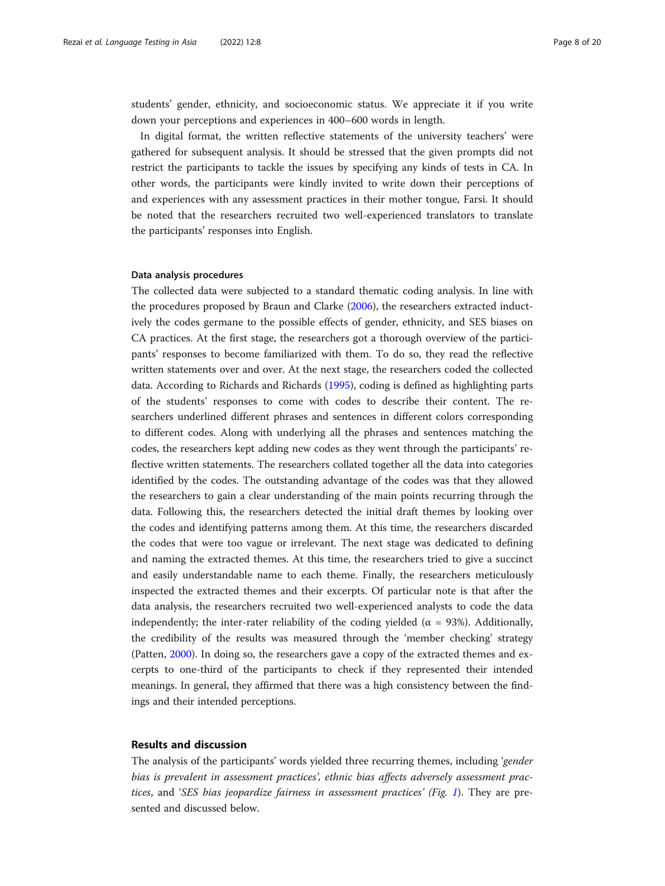students' gender, ethnicity, and socioeconomic status. We appreciate it if you write down your perceptions and experiences in 400–600 words in length.

In digital format, the written reflective statements of the university teachers' were gathered for subsequent analysis. It should be stressed that the given prompts did not restrict the participants to tackle the issues by specifying any kinds of tests in CA. In other words, the participants were kindly invited to write down their perceptions of and experiences with any assessment practices in their mother tongue, Farsi. It should be noted that the researchers recruited two well-experienced translators to translate the participants' responses into English.

# Data analysis procedures

The collected data were subjected to a standard thematic coding analysis. In line with the procedures proposed by Braun and Clarke [\(2006\)](#page-16-0), the researchers extracted inductively the codes germane to the possible effects of gender, ethnicity, and SES biases on CA practices. At the first stage, the researchers got a thorough overview of the participants' responses to become familiarized with them. To do so, they read the reflective written statements over and over. At the next stage, the researchers coded the collected data. According to Richards and Richards [\(1995\)](#page-18-0), coding is defined as highlighting parts of the students' responses to come with codes to describe their content. The researchers underlined different phrases and sentences in different colors corresponding to different codes. Along with underlying all the phrases and sentences matching the codes, the researchers kept adding new codes as they went through the participants' reflective written statements. The researchers collated together all the data into categories identified by the codes. The outstanding advantage of the codes was that they allowed the researchers to gain a clear understanding of the main points recurring through the data. Following this, the researchers detected the initial draft themes by looking over the codes and identifying patterns among them. At this time, the researchers discarded the codes that were too vague or irrelevant. The next stage was dedicated to defining and naming the extracted themes. At this time, the researchers tried to give a succinct and easily understandable name to each theme. Finally, the researchers meticulously inspected the extracted themes and their excerpts. Of particular note is that after the data analysis, the researchers recruited two well-experienced analysts to code the data independently; the inter-rater reliability of the coding yielded ( $\alpha = 93\%$ ). Additionally, the credibility of the results was measured through the 'member checking' strategy (Patten, [2000\)](#page-18-0). In doing so, the researchers gave a copy of the extracted themes and excerpts to one-third of the participants to check if they represented their intended meanings. In general, they affirmed that there was a high consistency between the findings and their intended perceptions.

# Results and discussion

The analysis of the participants' words yielded three recurring themes, including 'gender bias is prevalent in assessment practices', ethnic bias affects adversely assessment practices, and 'SES bias jeopardize fairness in assessment practices' (Fig. [1](#page-8-0)). They are presented and discussed below.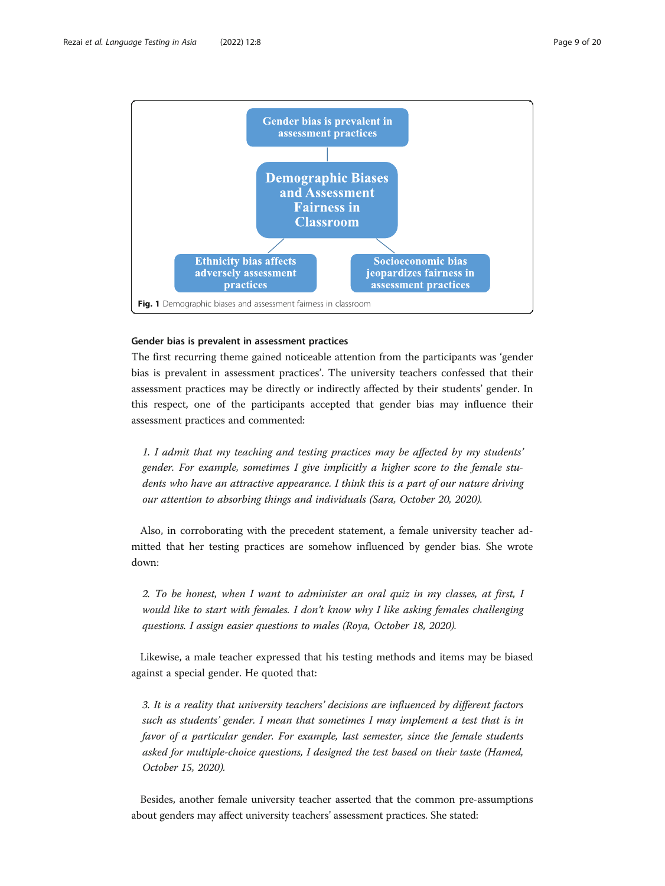<span id="page-8-0"></span>

# Gender bias is prevalent in assessment practices

The first recurring theme gained noticeable attention from the participants was 'gender bias is prevalent in assessment practices'. The university teachers confessed that their assessment practices may be directly or indirectly affected by their students' gender. In this respect, one of the participants accepted that gender bias may influence their assessment practices and commented:

1. I admit that my teaching and testing practices may be affected by my students' gender. For example, sometimes I give implicitly a higher score to the female students who have an attractive appearance. I think this is a part of our nature driving our attention to absorbing things and individuals (Sara, October 20, 2020).

Also, in corroborating with the precedent statement, a female university teacher admitted that her testing practices are somehow influenced by gender bias. She wrote down:

2. To be honest, when I want to administer an oral quiz in my classes, at first, I would like to start with females. I don't know why I like asking females challenging questions. I assign easier questions to males (Roya, October 18, 2020).

Likewise, a male teacher expressed that his testing methods and items may be biased against a special gender. He quoted that:

3. It is a reality that university teachers' decisions are influenced by different factors such as students' gender. I mean that sometimes I may implement a test that is in favor of a particular gender. For example, last semester, since the female students asked for multiple-choice questions, I designed the test based on their taste (Hamed, October 15, 2020).

Besides, another female university teacher asserted that the common pre-assumptions about genders may affect university teachers' assessment practices. She stated: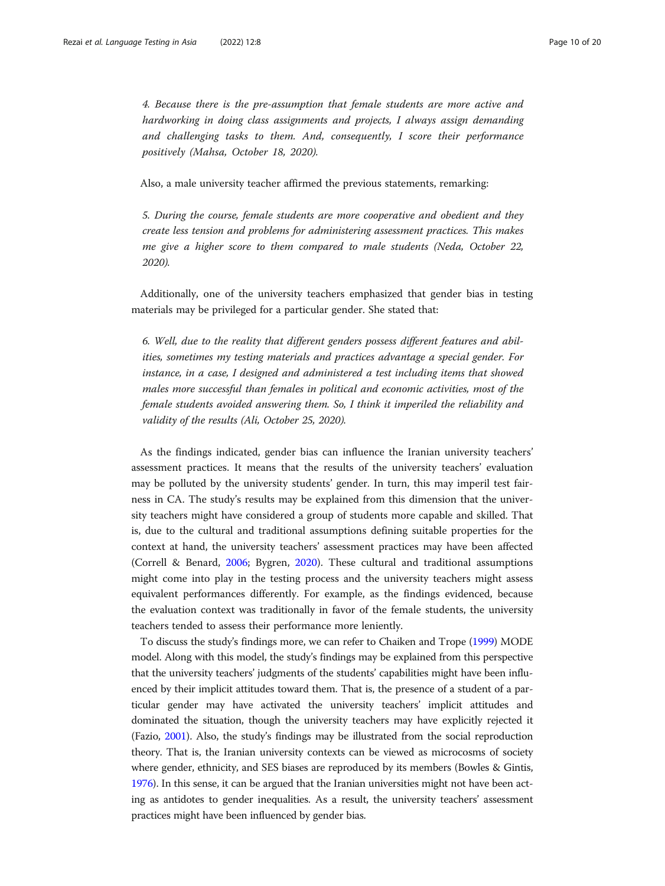4. Because there is the pre-assumption that female students are more active and hardworking in doing class assignments and projects, I always assign demanding and challenging tasks to them. And, consequently, I score their performance positively (Mahsa, October 18, 2020).

Also, a male university teacher affirmed the previous statements, remarking:

5. During the course, female students are more cooperative and obedient and they create less tension and problems for administering assessment practices. This makes me give a higher score to them compared to male students (Neda, October 22, 2020).

Additionally, one of the university teachers emphasized that gender bias in testing materials may be privileged for a particular gender. She stated that:

6. Well, due to the reality that different genders possess different features and abilities, sometimes my testing materials and practices advantage a special gender. For instance, in a case, I designed and administered a test including items that showed males more successful than females in political and economic activities, most of the female students avoided answering them. So, I think it imperiled the reliability and validity of the results (Ali, October 25, 2020).

As the findings indicated, gender bias can influence the Iranian university teachers' assessment practices. It means that the results of the university teachers' evaluation may be polluted by the university students' gender. In turn, this may imperil test fairness in CA. The study's results may be explained from this dimension that the university teachers might have considered a group of students more capable and skilled. That is, due to the cultural and traditional assumptions defining suitable properties for the context at hand, the university teachers' assessment practices may have been affected (Correll & Benard, [2006;](#page-16-0) Bygren, [2020](#page-16-0)). These cultural and traditional assumptions might come into play in the testing process and the university teachers might assess equivalent performances differently. For example, as the findings evidenced, because the evaluation context was traditionally in favor of the female students, the university teachers tended to assess their performance more leniently.

To discuss the study's findings more, we can refer to Chaiken and Trope [\(1999\)](#page-16-0) MODE model. Along with this model, the study's findings may be explained from this perspective that the university teachers' judgments of the students' capabilities might have been influenced by their implicit attitudes toward them. That is, the presence of a student of a particular gender may have activated the university teachers' implicit attitudes and dominated the situation, though the university teachers may have explicitly rejected it (Fazio, [2001\)](#page-17-0). Also, the study's findings may be illustrated from the social reproduction theory. That is, the Iranian university contexts can be viewed as microcosms of society where gender, ethnicity, and SES biases are reproduced by its members (Bowles & Gintis, [1976\)](#page-16-0). In this sense, it can be argued that the Iranian universities might not have been acting as antidotes to gender inequalities. As a result, the university teachers' assessment practices might have been influenced by gender bias.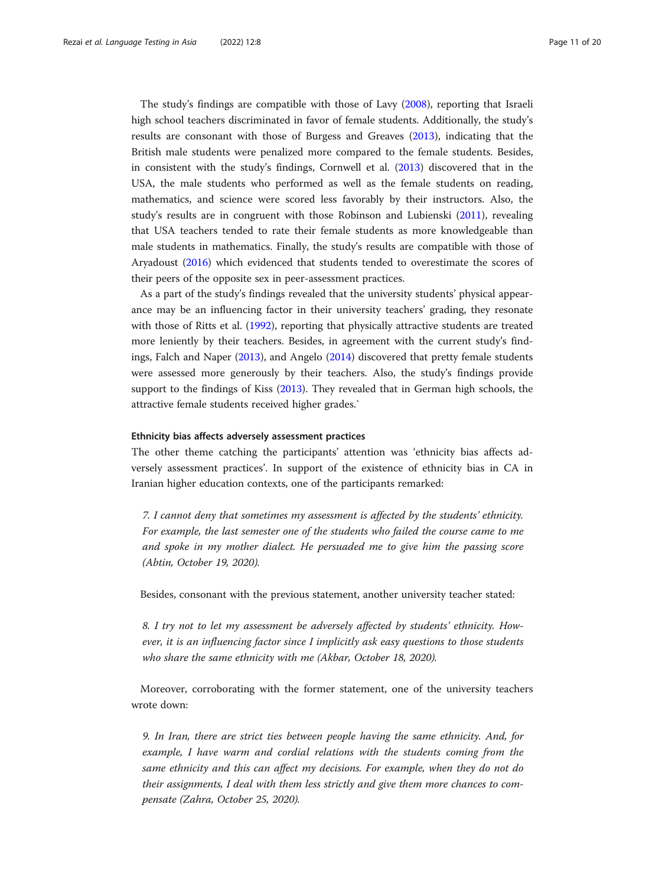The study's findings are compatible with those of Lavy ([2008](#page-17-0)), reporting that Israeli high school teachers discriminated in favor of female students. Additionally, the study's results are consonant with those of Burgess and Greaves ([2013](#page-16-0)), indicating that the British male students were penalized more compared to the female students. Besides, in consistent with the study's findings, Cornwell et al. ([2013\)](#page-16-0) discovered that in the USA, the male students who performed as well as the female students on reading, mathematics, and science were scored less favorably by their instructors. Also, the study's results are in congruent with those Robinson and Lubienski ([2011](#page-18-0)), revealing that USA teachers tended to rate their female students as more knowledgeable than male students in mathematics. Finally, the study's results are compatible with those of Aryadoust ([2016](#page-16-0)) which evidenced that students tended to overestimate the scores of their peers of the opposite sex in peer-assessment practices.

As a part of the study's findings revealed that the university students' physical appearance may be an influencing factor in their university teachers' grading, they resonate with those of Ritts et al. [\(1992\)](#page-18-0), reporting that physically attractive students are treated more leniently by their teachers. Besides, in agreement with the current study's findings, Falch and Naper ([2013](#page-17-0)), and Angelo [\(2014\)](#page-16-0) discovered that pretty female students were assessed more generously by their teachers. Also, the study's findings provide support to the findings of Kiss ([2013\)](#page-17-0). They revealed that in German high schools, the attractive female students received higher grades.`

# Ethnicity bias affects adversely assessment practices

The other theme catching the participants' attention was 'ethnicity bias affects adversely assessment practices'. In support of the existence of ethnicity bias in CA in Iranian higher education contexts, one of the participants remarked:

7. I cannot deny that sometimes my assessment is affected by the students' ethnicity. For example, the last semester one of the students who failed the course came to me and spoke in my mother dialect. He persuaded me to give him the passing score (Abtin, October 19, 2020).

Besides, consonant with the previous statement, another university teacher stated:

8. I try not to let my assessment be adversely affected by students' ethnicity. However, it is an influencing factor since I implicitly ask easy questions to those students who share the same ethnicity with me (Akbar, October 18, 2020).

Moreover, corroborating with the former statement, one of the university teachers wrote down:

9. In Iran, there are strict ties between people having the same ethnicity. And, for example, I have warm and cordial relations with the students coming from the same ethnicity and this can affect my decisions. For example, when they do not do their assignments, I deal with them less strictly and give them more chances to compensate (Zahra, October 25, 2020).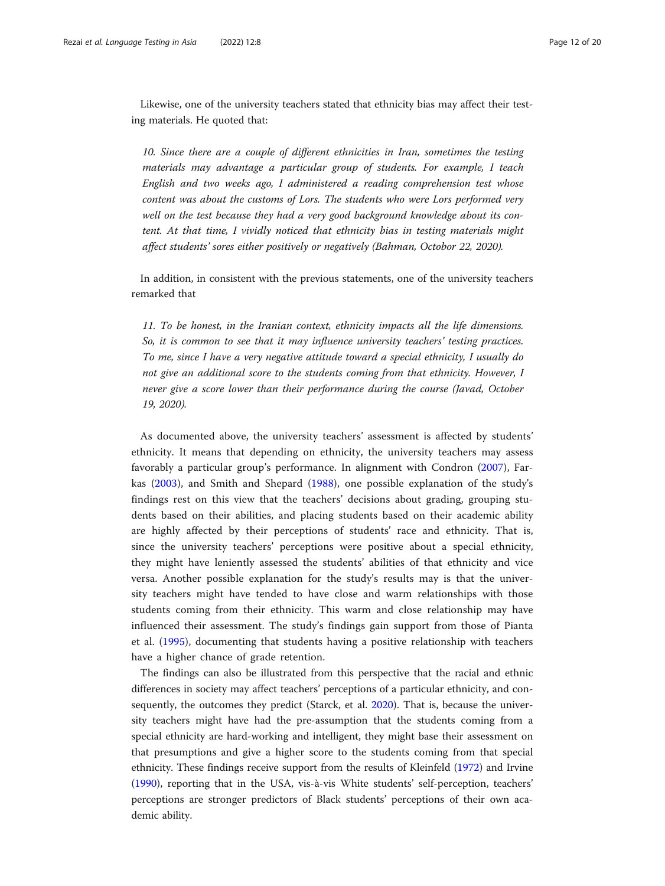Likewise, one of the university teachers stated that ethnicity bias may affect their testing materials. He quoted that:

10. Since there are a couple of different ethnicities in Iran, sometimes the testing materials may advantage a particular group of students. For example, I teach English and two weeks ago, I administered a reading comprehension test whose content was about the customs of Lors. The students who were Lors performed very well on the test because they had a very good background knowledge about its content. At that time, I vividly noticed that ethnicity bias in testing materials might affect students' sores either positively or negatively (Bahman, Octobor 22, 2020).

In addition, in consistent with the previous statements, one of the university teachers remarked that

11. To be honest, in the Iranian context, ethnicity impacts all the life dimensions. So, it is common to see that it may influence university teachers' testing practices. To me, since I have a very negative attitude toward a special ethnicity, I usually do not give an additional score to the students coming from that ethnicity. However, I never give a score lower than their performance during the course (Javad, October 19, 2020).

As documented above, the university teachers' assessment is affected by students' ethnicity. It means that depending on ethnicity, the university teachers may assess favorably a particular group's performance. In alignment with Condron ([2007](#page-16-0)), Farkas ([2003\)](#page-17-0), and Smith and Shepard ([1988\)](#page-18-0), one possible explanation of the study's findings rest on this view that the teachers' decisions about grading, grouping students based on their abilities, and placing students based on their academic ability are highly affected by their perceptions of students' race and ethnicity. That is, since the university teachers' perceptions were positive about a special ethnicity, they might have leniently assessed the students' abilities of that ethnicity and vice versa. Another possible explanation for the study's results may is that the university teachers might have tended to have close and warm relationships with those students coming from their ethnicity. This warm and close relationship may have influenced their assessment. The study's findings gain support from those of Pianta et al. ([1995\)](#page-18-0), documenting that students having a positive relationship with teachers have a higher chance of grade retention.

The findings can also be illustrated from this perspective that the racial and ethnic differences in society may affect teachers' perceptions of a particular ethnicity, and consequently, the outcomes they predict (Starck, et al. [2020](#page-18-0)). That is, because the university teachers might have had the pre-assumption that the students coming from a special ethnicity are hard-working and intelligent, they might base their assessment on that presumptions and give a higher score to the students coming from that special ethnicity. These findings receive support from the results of Kleinfeld ([1972](#page-17-0)) and Irvine ([1990](#page-17-0)), reporting that in the USA, vis-à-vis White students' self-perception, teachers' perceptions are stronger predictors of Black students' perceptions of their own academic ability.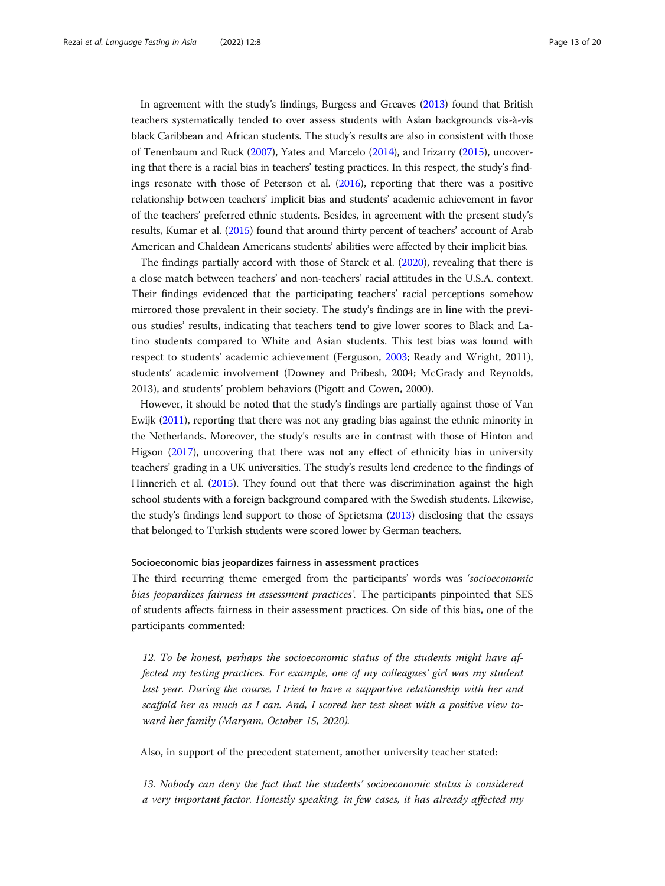In agreement with the study's findings, Burgess and Greaves [\(2013](#page-16-0)) found that British teachers systematically tended to over assess students with Asian backgrounds vis-à-vis black Caribbean and African students. The study's results are also in consistent with those of Tenenbaum and Ruck [\(2007\)](#page-18-0), Yates and Marcelo ([2014\)](#page-19-0), and Irizarry [\(2015\)](#page-17-0), uncovering that there is a racial bias in teachers' testing practices. In this respect, the study's findings resonate with those of Peterson et al. ([2016\)](#page-18-0), reporting that there was a positive relationship between teachers' implicit bias and students' academic achievement in favor of the teachers' preferred ethnic students. Besides, in agreement with the present study's results, Kumar et al. [\(2015\)](#page-17-0) found that around thirty percent of teachers' account of Arab American and Chaldean Americans students' abilities were affected by their implicit bias.

The findings partially accord with those of Starck et al. ([2020](#page-18-0)), revealing that there is a close match between teachers' and non-teachers' racial attitudes in the U.S.A. context. Their findings evidenced that the participating teachers' racial perceptions somehow mirrored those prevalent in their society. The study's findings are in line with the previous studies' results, indicating that teachers tend to give lower scores to Black and Latino students compared to White and Asian students. This test bias was found with respect to students' academic achievement (Ferguson, [2003;](#page-17-0) Ready and Wright, 2011), students' academic involvement (Downey and Pribesh, 2004; McGrady and Reynolds, 2013), and students' problem behaviors (Pigott and Cowen, 2000).

However, it should be noted that the study's findings are partially against those of Van Ewijk ([2011\)](#page-18-0), reporting that there was not any grading bias against the ethnic minority in the Netherlands. Moreover, the study's results are in contrast with those of Hinton and Higson ([2017\)](#page-17-0), uncovering that there was not any effect of ethnicity bias in university teachers' grading in a UK universities. The study's results lend credence to the findings of Hinnerich et al. [\(2015\)](#page-17-0). They found out that there was discrimination against the high school students with a foreign background compared with the Swedish students. Likewise, the study's findings lend support to those of Sprietsma [\(2013\)](#page-18-0) disclosing that the essays that belonged to Turkish students were scored lower by German teachers.

# Socioeconomic bias jeopardizes fairness in assessment practices

The third recurring theme emerged from the participants' words was 'socioeconomic bias jeopardizes fairness in assessment practices'. The participants pinpointed that SES of students affects fairness in their assessment practices. On side of this bias, one of the participants commented:

12. To be honest, perhaps the socioeconomic status of the students might have affected my testing practices. For example, one of my colleagues' girl was my student last year. During the course, I tried to have a supportive relationship with her and scaffold her as much as I can. And, I scored her test sheet with a positive view toward her family (Maryam, October 15, 2020).

Also, in support of the precedent statement, another university teacher stated:

13. Nobody can deny the fact that the students' socioeconomic status is considered a very important factor. Honestly speaking, in few cases, it has already affected my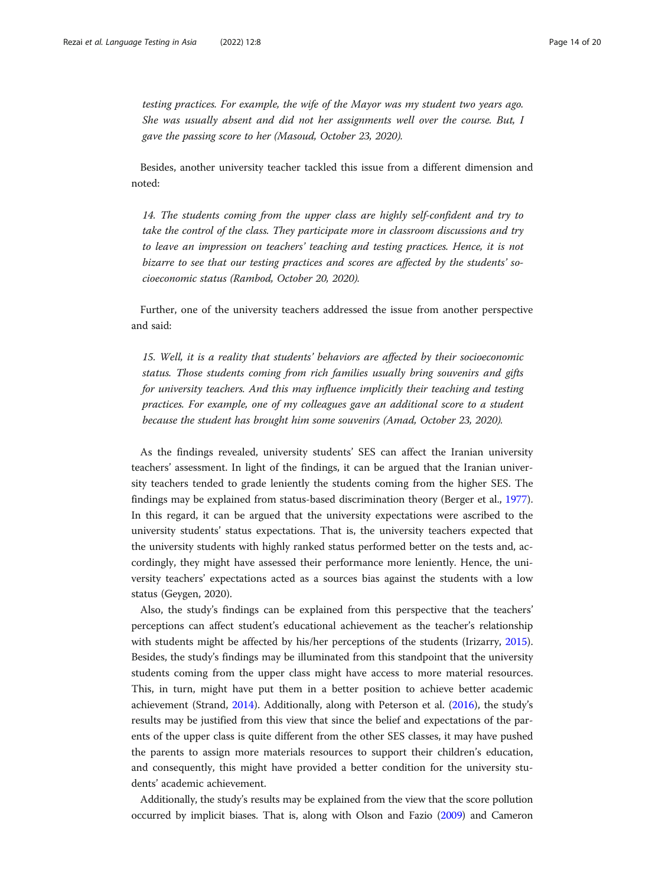testing practices. For example, the wife of the Mayor was my student two years ago. She was usually absent and did not her assignments well over the course. But, I gave the passing score to her (Masoud, October 23, 2020).

Besides, another university teacher tackled this issue from a different dimension and noted:

14. The students coming from the upper class are highly self-confident and try to take the control of the class. They participate more in classroom discussions and try to leave an impression on teachers' teaching and testing practices. Hence, it is not bizarre to see that our testing practices and scores are affected by the students' socioeconomic status (Rambod, October 20, 2020).

Further, one of the university teachers addressed the issue from another perspective and said:

15. Well, it is a reality that students' behaviors are affected by their socioeconomic status. Those students coming from rich families usually bring souvenirs and gifts for university teachers. And this may influence implicitly their teaching and testing practices. For example, one of my colleagues gave an additional score to a student because the student has brought him some souvenirs (Amad, October 23, 2020).

As the findings revealed, university students' SES can affect the Iranian university teachers' assessment. In light of the findings, it can be argued that the Iranian university teachers tended to grade leniently the students coming from the higher SES. The findings may be explained from status-based discrimination theory (Berger et al., [1977](#page-16-0)). In this regard, it can be argued that the university expectations were ascribed to the university students' status expectations. That is, the university teachers expected that the university students with highly ranked status performed better on the tests and, accordingly, they might have assessed their performance more leniently. Hence, the university teachers' expectations acted as a sources bias against the students with a low status (Geygen, 2020).

Also, the study's findings can be explained from this perspective that the teachers' perceptions can affect student's educational achievement as the teacher's relationship with students might be affected by his/her perceptions of the students (Irizarry, [2015](#page-17-0)). Besides, the study's findings may be illuminated from this standpoint that the university students coming from the upper class might have access to more material resources. This, in turn, might have put them in a better position to achieve better academic achievement (Strand, [2014\)](#page-18-0). Additionally, along with Peterson et al. [\(2016\)](#page-18-0), the study's results may be justified from this view that since the belief and expectations of the parents of the upper class is quite different from the other SES classes, it may have pushed the parents to assign more materials resources to support their children's education, and consequently, this might have provided a better condition for the university students' academic achievement.

Additionally, the study's results may be explained from the view that the score pollution occurred by implicit biases. That is, along with Olson and Fazio ([2009](#page-17-0)) and Cameron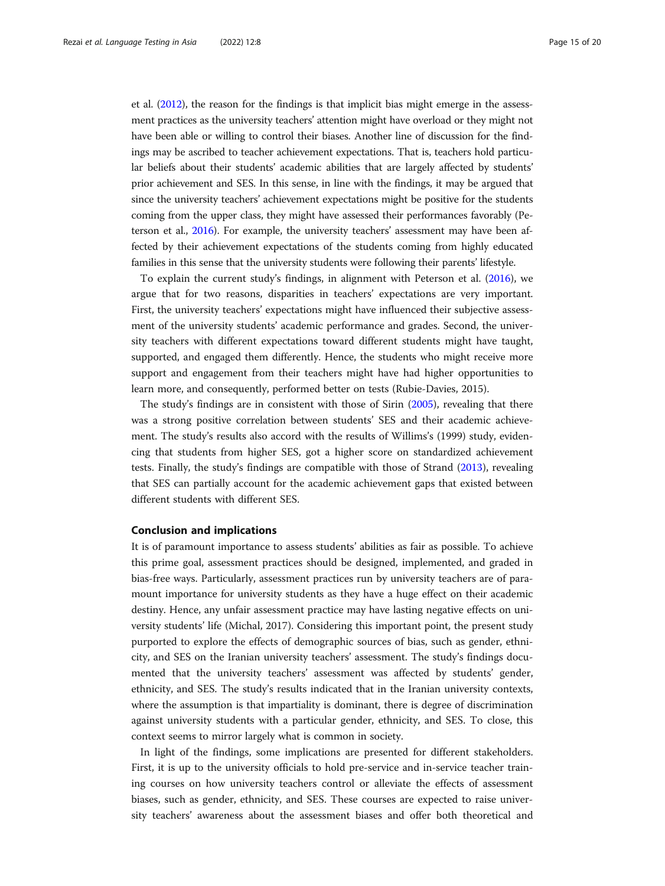et al. ([2012\)](#page-16-0), the reason for the findings is that implicit bias might emerge in the assessment practices as the university teachers' attention might have overload or they might not have been able or willing to control their biases. Another line of discussion for the findings may be ascribed to teacher achievement expectations. That is, teachers hold particular beliefs about their students' academic abilities that are largely affected by students' prior achievement and SES. In this sense, in line with the findings, it may be argued that since the university teachers' achievement expectations might be positive for the students coming from the upper class, they might have assessed their performances favorably (Peterson et al., [2016](#page-18-0)). For example, the university teachers' assessment may have been affected by their achievement expectations of the students coming from highly educated families in this sense that the university students were following their parents' lifestyle.

To explain the current study's findings, in alignment with Peterson et al. ([2016](#page-18-0)), we argue that for two reasons, disparities in teachers' expectations are very important. First, the university teachers' expectations might have influenced their subjective assessment of the university students' academic performance and grades. Second, the university teachers with different expectations toward different students might have taught, supported, and engaged them differently. Hence, the students who might receive more support and engagement from their teachers might have had higher opportunities to learn more, and consequently, performed better on tests (Rubie-Davies, 2015).

The study's findings are in consistent with those of Sirin ([2005](#page-18-0)), revealing that there was a strong positive correlation between students' SES and their academic achievement. The study's results also accord with the results of Willims's (1999) study, evidencing that students from higher SES, got a higher score on standardized achievement tests. Finally, the study's findings are compatible with those of Strand ([2013](#page-18-0)), revealing that SES can partially account for the academic achievement gaps that existed between different students with different SES.

### Conclusion and implications

It is of paramount importance to assess students' abilities as fair as possible. To achieve this prime goal, assessment practices should be designed, implemented, and graded in bias-free ways. Particularly, assessment practices run by university teachers are of paramount importance for university students as they have a huge effect on their academic destiny. Hence, any unfair assessment practice may have lasting negative effects on university students' life (Michal, 2017). Considering this important point, the present study purported to explore the effects of demographic sources of bias, such as gender, ethnicity, and SES on the Iranian university teachers' assessment. The study's findings documented that the university teachers' assessment was affected by students' gender, ethnicity, and SES. The study's results indicated that in the Iranian university contexts, where the assumption is that impartiality is dominant, there is degree of discrimination against university students with a particular gender, ethnicity, and SES. To close, this context seems to mirror largely what is common in society.

In light of the findings, some implications are presented for different stakeholders. First, it is up to the university officials to hold pre-service and in-service teacher training courses on how university teachers control or alleviate the effects of assessment biases, such as gender, ethnicity, and SES. These courses are expected to raise university teachers' awareness about the assessment biases and offer both theoretical and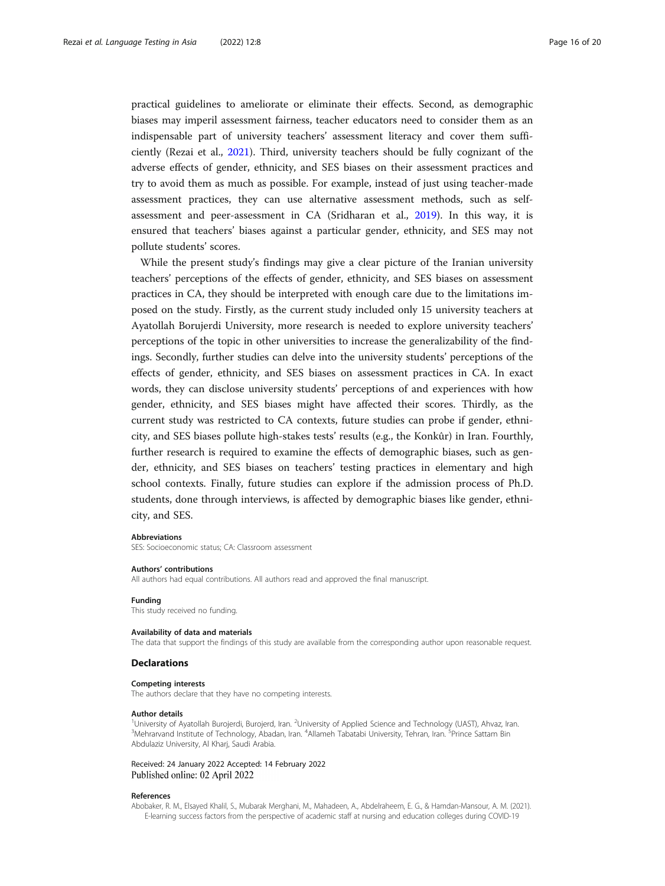<span id="page-15-0"></span>practical guidelines to ameliorate or eliminate their effects. Second, as demographic biases may imperil assessment fairness, teacher educators need to consider them as an indispensable part of university teachers' assessment literacy and cover them sufficiently (Rezai et al., [2021](#page-18-0)). Third, university teachers should be fully cognizant of the adverse effects of gender, ethnicity, and SES biases on their assessment practices and try to avoid them as much as possible. For example, instead of just using teacher-made assessment practices, they can use alternative assessment methods, such as selfassessment and peer-assessment in CA (Sridharan et al., [2019](#page-18-0)). In this way, it is ensured that teachers' biases against a particular gender, ethnicity, and SES may not pollute students' scores.

While the present study's findings may give a clear picture of the Iranian university teachers' perceptions of the effects of gender, ethnicity, and SES biases on assessment practices in CA, they should be interpreted with enough care due to the limitations imposed on the study. Firstly, as the current study included only 15 university teachers at Ayatollah Borujerdi University, more research is needed to explore university teachers' perceptions of the topic in other universities to increase the generalizability of the findings. Secondly, further studies can delve into the university students' perceptions of the effects of gender, ethnicity, and SES biases on assessment practices in CA. In exact words, they can disclose university students' perceptions of and experiences with how gender, ethnicity, and SES biases might have affected their scores. Thirdly, as the current study was restricted to CA contexts, future studies can probe if gender, ethnicity, and SES biases pollute high-stakes tests' results (e.g., the Konkûr) in Iran. Fourthly, further research is required to examine the effects of demographic biases, such as gender, ethnicity, and SES biases on teachers' testing practices in elementary and high school contexts. Finally, future studies can explore if the admission process of Ph.D. students, done through interviews, is affected by demographic biases like gender, ethnicity, and SES.

#### Abbreviations

SES: Socioeconomic status; CA: Classroom assessment

### Authors' contributions

All authors had equal contributions. All authors read and approved the final manuscript.

# Funding

This study received no funding.

#### Availability of data and materials

The data that support the findings of this study are available from the corresponding author upon reasonable request.

# **Declarations**

# Competing interests

The authors declare that they have no competing interests.

#### Author details

<sup>1</sup>University of Ayatollah Burojerdi, Burojerd, Iran. <sup>2</sup>University of Applied Science and Technology (UAST), Ahvaz, Iran.<br><sup>3</sup>Mohrangad Institute of Technology, Abadan, Iran. <sup>4</sup>Allamoh Tabatahi University, Tohran, Iran. <sup></sup> Mehrarvand Institute of Technology, Abadan, Iran. <sup>4</sup>Allameh Tabatabi University, Tehran, Iran. <sup>5</sup>Prince Sattam Bin Abdulaziz University, Al Kharj, Saudi Arabia.

Received: 24 January 2022 Accepted: 14 February 2022 Published online: 02 April 2022

#### References

Abobaker, R. M., Elsayed Khalil, S., Mubarak Merghani, M., Mahadeen, A., Abdelraheem, E. G., & Hamdan-Mansour, A. M. (2021). E-learning success factors from the perspective of academic staff at nursing and education colleges during COVID-19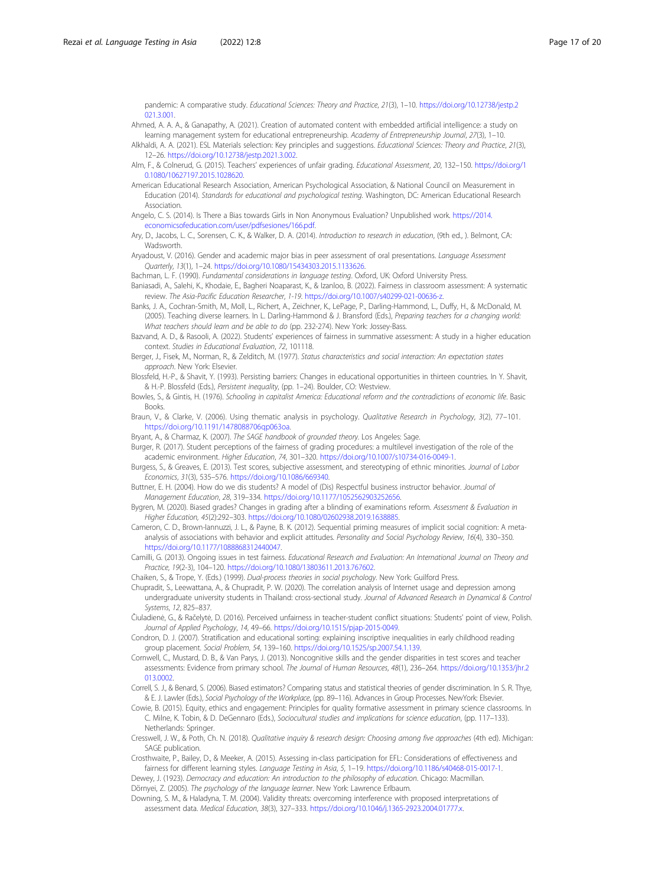<span id="page-16-0"></span>pandemic: A comparative study. Educational Sciences: Theory and Practice, 21(3), 1–10. [https://doi.org/10.12738/jestp.2](https://doi.org/10.12738/jestp.2021.3.001) [021.3.001.](https://doi.org/10.12738/jestp.2021.3.001)

Ahmed, A. A. A., & Ganapathy, A. (2021). Creation of automated content with embedded artificial intelligence: a study on learning management system for educational entrepreneurship. Academy of Entrepreneurship Journal, 27(3), 1–10.

Alkhaldi, A. A. (2021). ESL Materials selection: Key principles and suggestions. Educational Sciences: Theory and Practice, 21(3), 12–26. <https://doi.org/10.12738/jestp.2021.3.002>.

- Alm, F., & Colnerud, G. (2015). Teachers' experiences of unfair grading. Educational Assessment, 20, 132–150. [https://doi.org/1](https://doi.org/10.1080/10627197.2015.1028620) [0.1080/10627197.2015.1028620.](https://doi.org/10.1080/10627197.2015.1028620)
- American Educational Research Association, American Psychological Association, & National Council on Measurement in Education (2014). Standards for educational and psychological testing. Washington, DC: American Educational Research Association.
- Angelo, C. S. (2014). Is There a Bias towards Girls in Non Anonymous Evaluation? Unpublished work. [https://2014.](https://2014.economicsofeducation.com/user/pdfsesiones/166.pdf) [economicsofeducation.com/user/pdfsesiones/166.pdf.](https://2014.economicsofeducation.com/user/pdfsesiones/166.pdf)
- Ary, D., Jacobs, L. C., Sorensen, C. K., & Walker, D. A. (2014). Introduction to research in education, (9th ed., ). Belmont, CA: Wadsworth.
- Aryadoust, V. (2016). Gender and academic major bias in peer assessment of oral presentations. Language Assessment Quarterly, 13(1), 1–24. <https://doi.org/10.1080/15434303.2015.1133626>.
- Bachman, L. F. (1990). Fundamental considerations in language testing. Oxford, UK: Oxford University Press.

Baniasadi, A., Salehi, K., Khodaie, E., Bagheri Noaparast, K., & Izanloo, B. (2022). Fairness in classroom assessment: A systematic review. The Asia-Pacific Education Researcher, 1-19. <https://doi.org/10.1007/s40299-021-00636-z>.

- Banks, J. A., Cochran-Smith, M., Moll, L., Richert, A., Zeichner, K., LePage, P., Darling-Hammond, L., Duffy, H., & McDonald, M. (2005). Teaching diverse learners. In L. Darling-Hammond & J. Bransford (Eds.), Preparing teachers for a changing world: What teachers should learn and be able to do (pp. 232-274). New York: Jossey-Bass.
- Bazvand, A. D., & Rasooli, A. (2022). Students' experiences of fairness in summative assessment: A study in a higher education context. Studies in Educational Evaluation, 72, 101118.
- Berger, J., Fisek, M., Norman, R., & Zelditch, M. (1977). Status characteristics and social interaction: An expectation states approach. New York: Elsevier.

Blossfeld, H.-P., & Shavit, Y. (1993). Persisting barriers: Changes in educational opportunities in thirteen countries. In Y. Shavit, & H.-P. Blossfeld (Eds.), Persistent inequality, (pp. 1–24). Boulder, CO: Westview.

- Bowles, S., & Gintis, H. (1976). Schooling in capitalist America: Educational reform and the contradictions of economic life. Basic Books.
- Braun, V., & Clarke, V. (2006). Using thematic analysis in psychology. Qualitative Research in Psychology, 3(2), 77–101. [https://doi.org/10.1191/1478088706qp063oa.](https://doi.org/10.1191/1478088706qp063oa)
- Bryant, A., & Charmaz, K. (2007). The SAGE handbook of grounded theory. Los Angeles: Sage.

Burger, R. (2017). Student perceptions of the fairness of grading procedures: a multilevel investigation of the role of the academic environment. Higher Education, 74, 301–320. <https://doi.org/10.1007/s10734-016-0049-1>.

Burgess, S., & Greaves, E. (2013). Test scores, subjective assessment, and stereotyping of ethnic minorities. Journal of Labor Economics, 31(3), 535–576. <https://doi.org/10.1086/669340>.

Buttner, E. H. (2004). How do we dis students? A model of (Dis) Respectful business instructor behavior. Journal of Management Education, 28, 319–334. <https://doi.org/10.1177/1052562903252656>.

Bygren, M. (2020). Biased grades? Changes in grading after a blinding of examinations reform. Assessment & Evaluation in Higher Education, 45(2):292–303. [https://doi.org/10.1080/02602938.2019.1638885.](https://doi.org/10.1080/02602938.2019.1638885)

Cameron, C. D., Brown-Iannuzzi, J. L., & Payne, B. K. (2012). Sequential priming measures of implicit social cognition: A metaanalysis of associations with behavior and explicit attitudes. Personality and Social Psychology Review, 16(4), 330–350. <https://doi.org/10.1177/1088868312440047>.

Camilli, G. (2013). Ongoing issues in test fairness. Educational Research and Evaluation: An International Journal on Theory and Practice, 19(2-3), 104–120. [https://doi.org/10.1080/13803611.2013.767602.](https://doi.org/10.1080/13803611.2013.767602)

Chaiken, S., & Trope, Y. (Eds.) (1999). Dual-process theories in social psychology. New York: Guilford Press.

- Chupradit, S., Leewattana, A., & Chupradit, P. W. (2020). The correlation analysis of Internet usage and depression among undergraduate university students in Thailand: cross-sectional study. Journal of Advanced Research in Dynamical & Control Systems, 12, 825–837.
- Čiuladienė, G., & Račelytė, D. (2016). Perceived unfairness in teacher-student conflict situations: Students' point of view, Polish. Journal of Applied Psychology, 14, 49–66. [https://doi.org/10.1515/pjap-2015-0049.](https://doi.org/10.1515/pjap-2015-0049)
- Condron, D. J. (2007). Stratification and educational sorting: explaining inscriptive inequalities in early childhood reading group placement. Social Problem, 54, 139–160. <https://doi.org/10.1525/sp.2007.54.1.139>.
- Cornwell, C., Mustard, D. B., & Van Parys, J. (2013). Noncognitive skills and the gender disparities in test scores and teacher assessments: Evidence from primary school. The Journal of Human Resources, 48(1), 236–264. [https://doi.org/10.1353/jhr.2](https://doi.org/10.1353/jhr.2013.0002) 013.0002
- Correll, S. J., & Benard, S. (2006). Biased estimators? Comparing status and statistical theories of gender discrimination. In S. R. Thye, & E. J. Lawler (Eds.), Social Psychology of the Workplace, (pp. 89–116). Advances in Group Processes. NewYork: Elsevier.
- Cowie, B. (2015). Equity, ethics and engagement: Principles for quality formative assessment in primary science classrooms. In C. Milne, K. Tobin, & D. DeGennaro (Eds.), Sociocultural studies and implications for science education, (pp. 117–133). Netherlands: Springer.
- Cresswell, J. W., & Poth, Ch. N. (2018). Qualitative inquiry & research design: Choosing among five approaches (4th ed). Michigan: SAGE publication.
- Crosthwaite, P., Bailey, D., & Meeker, A. (2015). Assessing in-class participation for EFL: Considerations of effectiveness and fairness for different learning styles. Language Testing in Asia, 5, 1–19. <https://doi.org/10.1186/s40468-015-0017-1>.

Dewey, J. (1923). Democracy and education: An introduction to the philosophy of education. Chicago: Macmillan. Dörnyei, Z. (2005). The psychology of the language learner. New York: Lawrence Erlbaum.

Downing, S. M., & Haladyna, T. M. (2004). Validity threats: overcoming interference with proposed interpretations of assessment data. Medical Education, 38(3), 327–333. [https://doi.org/10.1046/j.1365-2923.2004.01777.x.](https://doi.org/10.1046/j.1365-2923.2004.01777.x)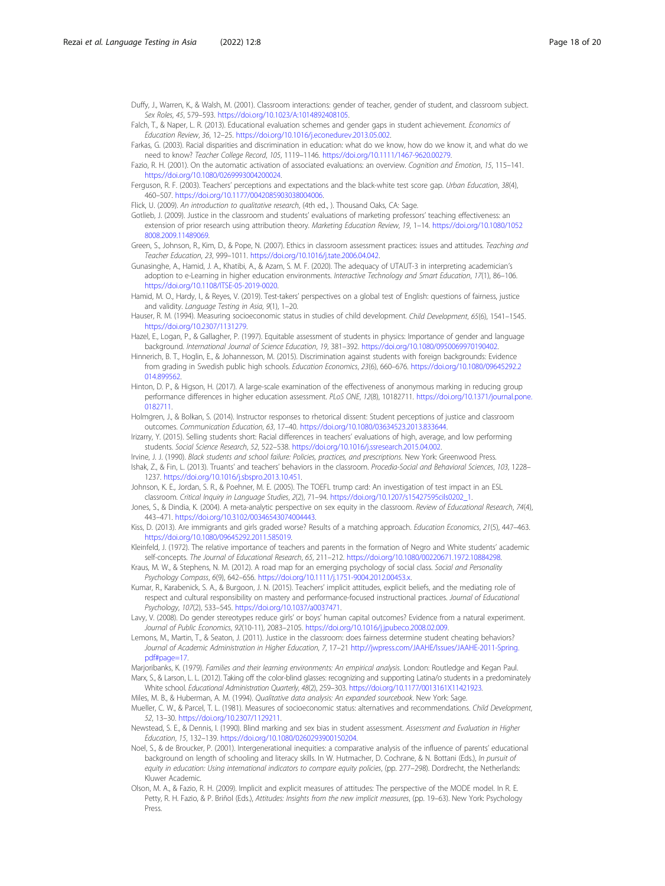<span id="page-17-0"></span>Duffy, J., Warren, K., & Walsh, M. (2001). Classroom interactions: gender of teacher, gender of student, and classroom subject. Sex Roles, 45, 579–593. [https://doi.org/10.1023/A:1014892408105.](https://doi.org/10.1023/A:1014892408105)

Falch, T., & Naper, L. R. (2013). Educational evaluation schemes and gender gaps in student achievement. Economics of Education Review, 36, 12–25. <https://doi.org/10.1016/j.econedurev.2013.05.002>.

Farkas, G. (2003). Racial disparities and discrimination in education: what do we know, how do we know it, and what do we need to know? Teacher College Record, 105, 1119–1146. [https://doi.org/10.1111/1467-9620.00279.](https://doi.org/10.1111/1467-9620.00279)

Fazio, R. H. (2001). On the automatic activation of associated evaluations: an overview. Cognition and Emotion, 15, 115–141. <https://doi.org/10.1080/0269993004200024>.

Ferguson, R. F. (2003). Teachers' perceptions and expectations and the black-white test score gap. Urban Education, 38(4), 460–507. <https://doi.org/10.1177/0042085903038004006>.

Flick, U. (2009). An introduction to qualitative research, (4th ed., ). Thousand Oaks, CA: Sage.

Gotlieb, J. (2009). Justice in the classroom and students' evaluations of marketing professors' teaching effectiveness: an extension of prior research using attribution theory. Marketing Education Review, 19, 1-14. [https://doi.org/10.1080/1052](https://doi.org/10.1080/10528008.2009.11489069) [8008.2009.11489069.](https://doi.org/10.1080/10528008.2009.11489069)

Green, S., Johnson, R., Kim, D., & Pope, N. (2007). Ethics in classroom assessment practices: issues and attitudes. Teaching and Teacher Education, 23, 999–1011. <https://doi.org/10.1016/j.tate.2006.04.042>.

Gunasinghe, A., Hamid, J. A., Khatibi, A., & Azam, S. M. F. (2020). The adequacy of UTAUT-3 in interpreting academician's adoption to e-Learning in higher education environments. Interactive Technology and Smart Education, 17(1), 86–106. <https://doi.org/10.1108/ITSE-05-2019-0020>.

Hamid, M. O., Hardy, I., & Reyes, V. (2019). Test-takers' perspectives on a global test of English: questions of fairness, justice and validity. Language Testing in Asia, 9(1), 1–20.

Hauser, R. M. (1994). Measuring socioeconomic status in studies of child development. Child Development, 65(6), 1541-1545 [https://doi.org/10.2307/1131279.](https://doi.org/10.2307/1131279)

Hazel, E., Logan, P., & Gallagher, P. (1997). Equitable assessment of students in physics: Importance of gender and language background. International Journal of Science Education, 19, 381–392. [https://doi.org/10.1080/0950069970190402.](https://doi.org/10.1080/0950069970190402)

Hinnerich, B. T., Hoglin, E., & Johannesson, M. (2015). Discrimination against students with foreign backgrounds: Evidence from grading in Swedish public high schools. Education Economics, 23(6), 660–676. [https://doi.org/10.1080/09645292.2](https://doi.org/10.1080/09645292.2014.899562) [014.899562.](https://doi.org/10.1080/09645292.2014.899562)

Hinton, D. P., & Higson, H. (2017). A large-scale examination of the effectiveness of anonymous marking in reducing group performance differences in higher education assessment. PLoS ONE, 12(8), 10182711. [https://doi.org/10.1371/journal.pone.](https://doi.org/10.1371/journal.pone.0182711) [0182711.](https://doi.org/10.1371/journal.pone.0182711)

Holmgren, J., & Bolkan, S. (2014). Instructor responses to rhetorical dissent: Student perceptions of justice and classroom outcomes. Communication Education, 63, 17–40. [https://doi.org/10.1080/03634523.2013.833644.](https://doi.org/10.1080/03634523.2013.833644)

Irizarry, Y. (2015). Selling students short: Racial differences in teachers' evaluations of high, average, and low performing students. Social Science Research, 52, 522–538. [https://doi.org/10.1016/j.ssresearch.2015.04.002.](https://doi.org/10.1016/j.ssresearch.2015.04.002)

Irvine, J. J. (1990). Black students and school failure: Policies, practices, and prescriptions. New York: Greenwood Press. Ishak, Z., & Fin, L. (2013). Truants' and teachers' behaviors in the classroom. Procedia-Social and Behavioral Sciences, 103, 1228– 1237. [https://doi.org/10.1016/j.sbspro.2013.10.451.](https://doi.org/10.1016/j.sbspro.2013.10.451)

Johnson, K. E., Jordan, S. R., & Poehner, M. E. (2005). The TOEFL trump card: An investigation of test impact in an ESL classroom. Critical Inquiry in Language Studies, 2(2), 71–94. [https://doi.org/10.1207/s15427595cils0202\\_1](https://doi.org/10.1207/s15427595cils0202_1).

Jones, S., & Dindia, K. (2004). A meta-analytic perspective on sex equity in the classroom. Review of Educational Research, 74(4), 443–471. <https://doi.org/10.3102/00346543074004443>.

Kiss, D. (2013). Are immigrants and girls graded worse? Results of a matching approach. Education Economics, 21(5), 447–463. [https://doi.org/10.1080/09645292.2011.585019.](https://doi.org/10.1080/09645292.2011.585019)

Kleinfeld, J. (1972). The relative importance of teachers and parents in the formation of Negro and White students' academic self-concepts. The Journal of Educational Research, 65, 211–212. [https://doi.org/10.1080/00220671.1972.10884298.](https://doi.org/10.1080/00220671.1972.10884298)

Kraus, M. W., & Stephens, N. M. (2012). A road map for an emerging psychology of social class. Social and Personality Psychology Compass, 6(9), 642–656. [https://doi.org/10.1111/j.1751-9004.2012.00453.x.](https://doi.org/10.1111/j.1751-9004.2012.00453.x)

Kumar, R., Karabenick, S. A., & Burgoon, J. N. (2015). Teachers' implicit attitudes, explicit beliefs, and the mediating role of respect and cultural responsibility on mastery and performance-focused instructional practices. Journal of Educational Psychology, 107(2), 533–545. [https://doi.org/10.1037/a0037471.](https://doi.org/10.1037/a0037471)

Lavy, V. (2008). Do gender stereotypes reduce girls' or boys' human capital outcomes? Evidence from a natural experiment. Journal of Public Economics, 92(10-11), 2083–2105. [https://doi.org/10.1016/j.jpubeco.2008.02.009.](https://doi.org/10.1016/j.jpubeco.2008.02.009)

Lemons, M., Martin, T., & Seaton, J. (2011). Justice in the classroom: does fairness determine student cheating behaviors? Journal of Academic Administration in Higher Education, 7, 17–21 [http://jwpress.com/JAAHE/Issues/JAAHE-2011-Spring.](http://jwpress.com/JAAHE/Issues/JAAHE-2011-Spring.pdf#page=17) [pdf#page=17.](http://jwpress.com/JAAHE/Issues/JAAHE-2011-Spring.pdf#page=17)

Marjoribanks, K. (1979). Families and their learning environments: An empirical analysis. London: Routledge and Kegan Paul. Marx, S., & Larson, L. L. (2012). Taking off the color-blind glasses: recognizing and supporting Latina/o students in a predominately White school. Educational Administration Quarterly, 48(2), 259–303. <https://doi.org/10.1177/0013161X11421923>.

Miles, M. B., & Huberman, A. M. (1994). Qualitative data analysis: An expanded sourcebook. New York: Sage.

Mueller, C. W., & Parcel, T. L. (1981). Measures of socioeconomic status: alternatives and recommendations. Child Development, 52, 13–30. <https://doi.org/10.2307/1129211>.

Newstead, S. E., & Dennis, I. (1990). Blind marking and sex bias in student assessment. Assessment and Evaluation in Higher Education, 15, 132–139. <https://doi.org/10.1080/0260293900150204>.

Noel, S., & de Broucker, P. (2001). Intergenerational inequities: a comparative analysis of the influence of parents' educational background on length of schooling and literacy skills. In W. Hutmacher, D. Cochrane, & N. Bottani (Eds.), In pursuit of equity in education: Using international indicators to compare equity policies, (pp. 277–298). Dordrecht, the Netherlands: Kluwer Academic.

Olson, M. A., & Fazio, R. H. (2009). Implicit and explicit measures of attitudes: The perspective of the MODE model. In R. E. Petty, R. H. Fazio, & P. Briñol (Eds.), Attitudes: Insights from the new implicit measures, (pp. 19–63). New York: Psychology Press.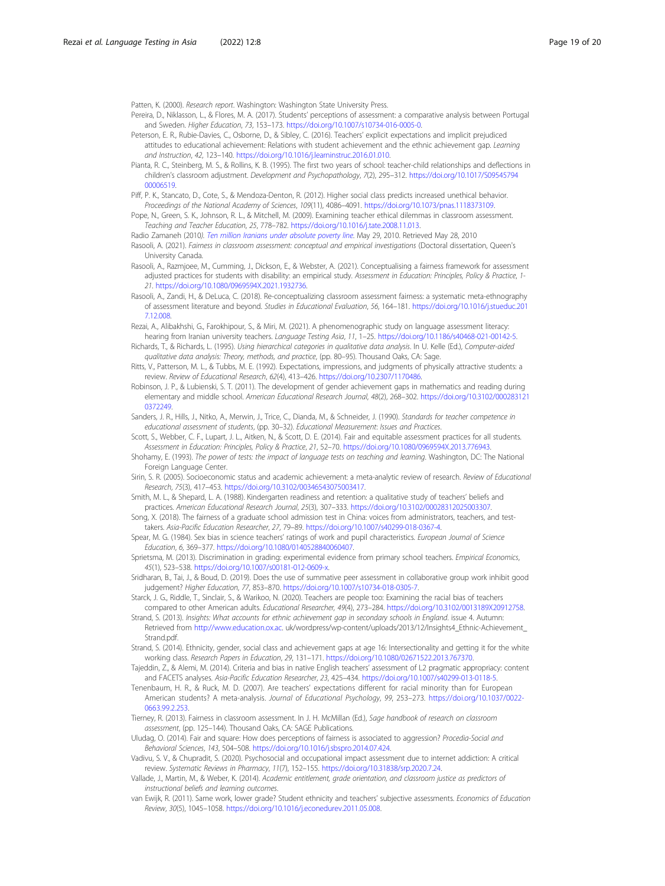<span id="page-18-0"></span>Patten, K. (2000). Research report. Washington: Washington State University Press.

- Pereira, D., Niklasson, L., & Flores, M. A. (2017). Students' perceptions of assessment: a comparative analysis between Portugal and Sweden. Higher Education, 73, 153–173. <https://doi.org/10.1007/s10734-016-0005-0>.
- Peterson, E. R., Rubie-Davies, C., Osborne, D., & Sibley, C. (2016). Teachers' explicit expectations and implicit prejudiced attitudes to educational achievement: Relations with student achievement and the ethnic achievement gap. Learning and Instruction, 42, 123–140. [https://doi.org/10.1016/j.learninstruc.2016.01.010.](https://doi.org/10.1016/j.learninstruc.2016.01.010)
- Pianta, R. C., Steinberg, M. S., & Rollins, K. B. (1995). The first two years of school: teacher-child relationships and deflections in children's classroom adjustment. Development and Psychopathology, 7(2), 295–312. [https://doi.org/10.1017/S09545794](https://doi.org/10.1017/S0954579400006519) [00006519.](https://doi.org/10.1017/S0954579400006519)
- Piff, P. K., Stancato, D., Cote, S., & Mendoza-Denton, R. (2012). Higher social class predicts increased unethical behavior. Proceedings of the National Academy of Sciences, 109(11), 4086–4091. <https://doi.org/10.1073/pnas.1118373109>.
- Pope, N., Green, S. K., Johnson, R. L., & Mitchell, M. (2009). Examining teacher ethical dilemmas in classroom assessment. Teaching and Teacher Education, 25, 778–782. [https://doi.org/10.1016/j.tate.2008.11.013.](https://doi.org/10.1016/j.tate.2008.11.013)
- Radio Zamaneh (2010). [Ten million Iranians under absolute poverty line](http://www.payvand.com/news/10/may/1316.html). May 29, 2010. Retrieved May 28, 2010
- Rasooli, A. (2021). Fairness in classroom assessment: conceptual and empirical investigations (Doctoral dissertation, Queen's University Canada.
- Rasooli, A., Razmjoee, M., Cumming, J., Dickson, E., & Webster, A. (2021). Conceptualising a fairness framework for assessment adjusted practices for students with disability: an empirical study. Assessment in Education: Principles, Policy & Practice, 1-21. <https://doi.org/10.1080/0969594X.2021.1932736>.
- Rasooli, A., Zandi, H., & DeLuca, C. (2018). Re-conceptualizing classroom assessment fairness: a systematic meta-ethnography of assessment literature and beyond. Studies in Educational Evaluation, 56, 164–181. [https://doi.org/10.1016/j.stueduc.201](https://doi.org/10.1016/j.stueduc.2017.12.008) [7.12.008.](https://doi.org/10.1016/j.stueduc.2017.12.008)
- Rezai, A., Alibakhshi, G., Farokhipour, S., & Miri, M. (2021). A phenomenographic study on language assessment literacy: hearing from Iranian university teachers. Language Testing Asia, 11, 1-25. <https://doi.org/10.1186/s40468-021-00142-5>. Richards, T., & Richards, L. (1995). Using hierarchical categories in qualitative data analysis. In U. Kelle (Ed.), Computer-aided
- qualitative data analysis: Theory, methods, and practice, (pp. 80–95). Thousand Oaks, CA: Sage.
- Ritts, V., Patterson, M. L., & Tubbs, M. E. (1992). Expectations, impressions, and judgments of physically attractive students: a review. Review of Educational Research, 62(4), 413–426. <https://doi.org/10.2307/1170486>.
- Robinson, J. P., & Lubienski, S. T. (2011). The development of gender achievement gaps in mathematics and reading during elementary and middle school. American Educational Research Journal, 48(2), 268–302. [https://doi.org/10.3102/000283121](https://doi.org/10.3102/0002831210372249) [0372249.](https://doi.org/10.3102/0002831210372249)
- Sanders, J. R., Hills, J., Nitko, A., Merwin, J., Trice, C., Dianda, M., & Schneider, J. (1990). Standards for teacher competence in educational assessment of students, (pp. 30–32). Educational Measurement: Issues and Practices.
- Scott, S., Webber, C. F., Lupart, J. L., Aitken, N., & Scott, D. E. (2014). Fair and equitable assessment practices for all students. Assessment in Education: Principles, Policy & Practice, 21, 52–70. [https://doi.org/10.1080/0969594X.2013.776943.](https://doi.org/10.1080/0969594X.2013.776943)
- Shohamy, E. (1993). The power of tests: the impact of language tests on teaching and learning. Washington, DC: The National Foreign Language Center.
- Sirin, S. R. (2005). Socioeconomic status and academic achievement: a meta-analytic review of research. Review of Educational Research, 75(3), 417–453. <https://doi.org/10.3102/00346543075003417>.
- Smith, M. L., & Shepard, L. A. (1988). Kindergarten readiness and retention: a qualitative study of teachers' beliefs and practices. American Educational Research Journal, 25(3), 307–333. <https://doi.org/10.3102/00028312025003307>.
- Song, X. (2018). The fairness of a graduate school admission test in China: voices from administrators, teachers, and testtakers. Asia-Pacific Education Researcher, 27, 79–89. [https://doi.org/10.1007/s40299-018-0367-4.](https://doi.org/10.1007/s40299-018-0367-4)
- Spear, M. G. (1984). Sex bias in science teachers' ratings of work and pupil characteristics. European Journal of Science Education, 6, 369–377. <https://doi.org/10.1080/0140528840060407>.
- Sprietsma, M. (2013). Discrimination in grading: experimental evidence from primary school teachers. Empirical Economics, 45(1), 523–538. <https://doi.org/10.1007/s00181-012-0609-x>.
- Sridharan, B., Tai, J., & Boud, D. (2019). Does the use of summative peer assessment in collaborative group work inhibit good judgement? Higher Education, 77, 853–870. <https://doi.org/10.1007/s10734-018-0305-7>.
- Starck, J. G., Riddle, T., Sinclair, S., & Warikoo, N. (2020). Teachers are people too: Examining the racial bias of teachers compared to other American adults. Educational Researcher, 49(4), 273–284. <https://doi.org/10.3102/0013189X20912758>.
- Strand, S. (2013). Insights: What accounts for ethnic achievement gap in secondary schools in England. issue 4. Autumn: Retrieved from [http://www.education.ox.ac.](http://www.education.ox.ac) uk/wordpress/wp-content/uploads/2013/12/Insights4\_Ethnic-Achievement\_ Strand.pdf.
- Strand, S. (2014). Ethnicity, gender, social class and achievement gaps at age 16: Intersectionality and getting it for the white working class. Research Papers in Education, 29, 131–171. <https://doi.org/10.1080/02671522.2013.767370>.
- Tajeddin, Z., & Alemi, M. (2014). Criteria and bias in native English teachers' assessment of L2 pragmatic appropriacy: content and FACETS analyses. Asia-Pacific Education Researcher, 23, 425–434. [https://doi.org/10.1007/s40299-013-0118-5.](https://doi.org/10.1007/s40299-013-0118-5)
- Tenenbaum, H. R., & Ruck, M. D. (2007). Are teachers' expectations different for racial minority than for European American students? A meta-analysis. Journal of Educational Psychology, 99, 253–273. [https://doi.org/10.1037/0022-](https://doi.org/10.1037/0022-0663.99.2.253) [0663.99.2.253](https://doi.org/10.1037/0022-0663.99.2.253).
- Tierney, R. (2013). Fairness in classroom assessment. In J. H. McMillan (Ed.), Sage handbook of research on classroom assessment, (pp. 125–144). Thousand Oaks, CA: SAGE Publications.
- Uludag, O. (2014). Fair and square: How does perceptions of fairness is associated to aggression? Procedia-Social and Behavioral Sciences, 143, 504–508. <https://doi.org/10.1016/j.sbspro.2014.07.424>.
- Vadivu, S. V., & Chupradit, S. (2020). Psychosocial and occupational impact assessment due to internet addiction: A critical review. Systematic Reviews in Pharmacy, 11(7), 152–155. [https://doi.org/10.31838/srp.2020.7.24.](https://doi.org/10.31838/srp.2020.7.24)
- Vallade, J., Martin, M., & Weber, K. (2014). Academic entitlement, grade orientation, and classroom justice as predictors of instructional beliefs and learning outcomes.
- van Ewijk, R. (2011). Same work, lower grade? Student ethnicity and teachers' subjective assessments. Economics of Education Review, 30(5), 1045–1058. [https://doi.org/10.1016/j.econedurev.2011.05.008.](https://doi.org/10.1016/j.econedurev.2011.05.008)